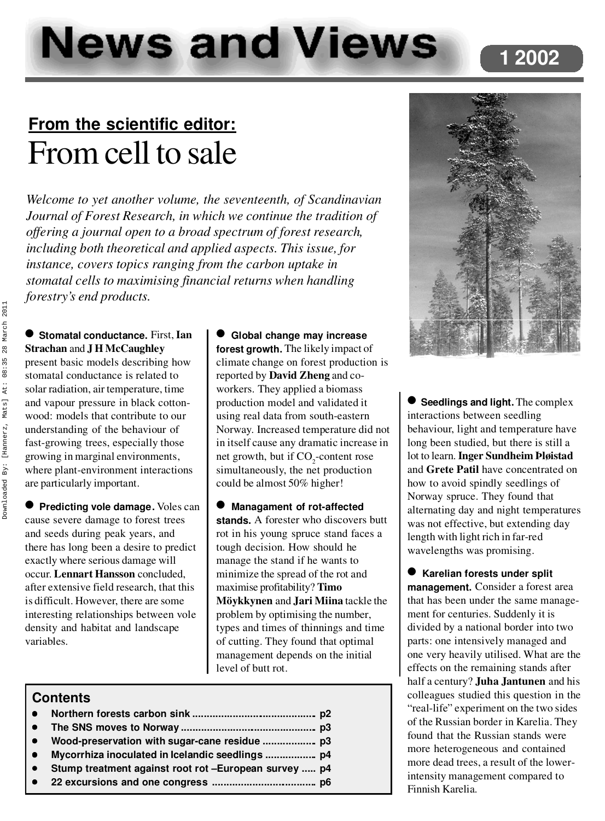# **News and Views**

## **From the scientific editor:** From cell to sale

*Welcome to yet another volume, the seventeenth, of Scandinavian Journal of Forest Research, in which we continue the tradition of offering a journal open to a broad spectrum of forest research, including both theoretical and applied aspects. This issue, for instance, covers topics ranging from the carbon uptake in stomatal cells to maximising financial returns when handling forestry's end products.*

l **Stomatal conductance.** First, **Ian Strachan** and **J H McCaughley** present basic models describing how stomatal conductance is related to solar radiation, air temperature, time and vapour pressure in black cotton wood: models that contribute to our understanding of the behaviour of fast-growing trees, especially those growing in marginal environments, where plant-environment interactions are particularly important.

**• Predicting vole damage.** Voles can cause severe damage to forest trees and seeds during peak years, and there has long been a desire to predict exactly where serious damage will occur. **Lennart Hansson** concluded, after extensive field research, that this is difficult. However, there are some interesting relationships between vole density and habitat and landscape variables.

l **Global change may increase forest growth.** The likely impact of climate change on forest production is reported by **David Zheng** and coworkers. They applied a biomass production model and validated it using real data from south-eastern Norway. Increased temperature did not in itself cause any dramatic increase in net growth, but if CO<sub>2</sub>-content rose simultaneously, the net production could be almost 50% higher!

l **Managament of rot-affected stands.** A forester who discovers butt rot in his young spruce stand faces a tough decision. How should he manage the stand if he wants to minimize the spread of the rot and maximise profitability? **Timo Möykkynen** and **Jari Miina** tackle the problem by optimising the number, types and times of thinnings and time of cutting. They found that optimal management depends on the initial level of butt rot.

#### **Contents**

| $\bullet$<br>$\bullet$ |                                                       |  |
|------------------------|-------------------------------------------------------|--|
|                        |                                                       |  |
| $\bullet$              | Stump treatment against root rot -European survey  p4 |  |



**1 2002**

l **Seedlings and light.** The complex interactions between seedling behaviour, light and temperature have long been studied, but there is still a lot to learn. **Inger Sundheim Þløistad** and **Grete Patil** have concentrated on how to avoid spindly seedlings of Norway spruce. They found that alternating day and night temperatures was not effective, but extending day length with light rich in far-red wavelengths was promising.

 $\bullet$  Karelian forests under split **management.** Consider a forest area that has been under the same manage ment for centuries. Suddenly it is divided by a national border into two parts: one intensively managed and one very heavily utilised. What are the effects on the remaining stands after half a century? **Juha Jantunen** and his colleagues studied this question in the "real-life" experiment on the two sides of the Russian border in Karelia. They found that the Russian stands were more heterogeneous and contained more dead trees, a result of the lowerintensity management compared to Finnish Karelia.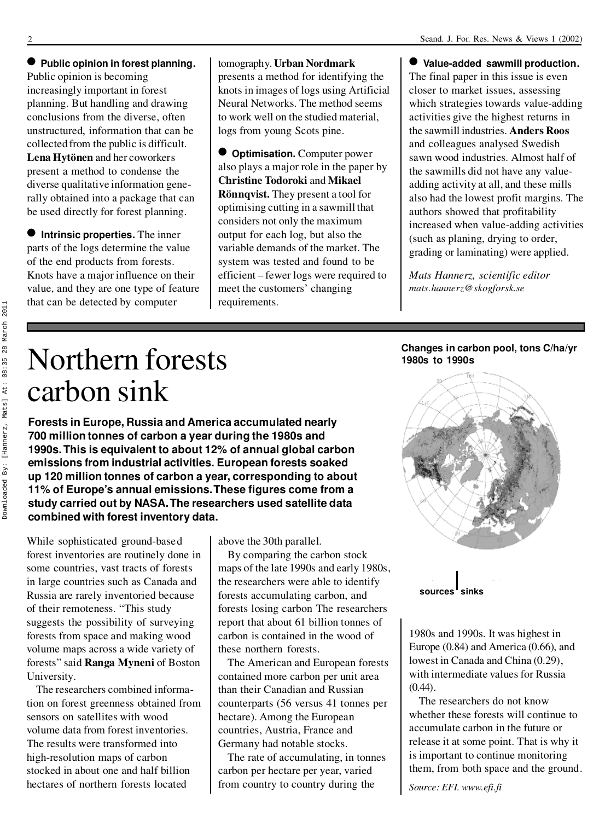l **Public opinion in forest planning.** Public opinion is becoming increasingly important in forest planning. But handling and drawing conclusions from the diverse, often unstructured, information that can be collected from the public is difficult. **Lena Hytönen** and her coworkers present a method to condense the diverse qualitative information generally obtained into a package that can be used directly for forest planning.

 $\bullet$  Intrinsic properties. The inner parts of the logs determine the value of the end products from forests. Knots have a major influence on their value, and they are one type of feature that can be detected by computer

#### tomography. **Urban Nordmark** presents a method for identifying the knots in images of logs using Artificial Neural Networks. The method seems to work well on the studied material, logs from young Scots pine.

 $\bullet$  **Optimisation.** Computer power also plays a major role in the paper by **Christine Todoroki** and **Mikael Rönnqvist.** They present a tool for optimising cutting in a sawmill that considers not only the maximum output for each log, but also the variable demands of the market. The system was tested and found to be efficient – fewer logs were required to meet the customers' changing requirements.

l **Value-added sawmill production.** The final paper in this issue is even closer to market issues, assessing which strategies towards value-adding activities give the highest returns in the sawmill industries. **Anders Roos** and colleagues analysed Swedish sawn wood industries. Almost half of the sawmills did not have any value adding activity at all, and these mills also had the lowest profit margins. The authors showed that profitability increased when value-adding activities (such as planing, drying to order, grading or laminating) were applied.

*Mats Hannerz, scientific editor mats.hannerz@skogforsk.se*

**Changes in carbon pool, tons C/ha/yr**

**1980s to 1990s**

## Northern forests carbon sink

**Forests in Europe, Russia and America accumulated nearly 700 million tonnes of carbon a year during the 1980s and 1990s. This is equivalent to about 12% of annual global carbon emissions from industrial activities. European forests soaked up 120 million tonnes of carbon a year, corresponding to about 11% of Europe's annual emissions. These figures come from a study carried out by NASA. The researchers used satellite data combined with forest inventory data.**

While sophisticated ground-based forest inventories are routinely done in some countries, vast tracts of forests in large countries such as Canada and Russia are rarely inventoried because of their remoteness. "This study suggests the possibility of surveying forests from space and making wood volume maps across a wide variety of forests" said **Ranga Myneni** of Boston University.

The researchers combined information on forest greenness obtained from sensors on satellites with wood volume data from forest inventories. The results were transformed into high-resolution maps of carbon stocked in about one and half billion hectares of northern forests located

above the 30th parallel.

By comparing the carbon stock maps of the late 1990s and early 1980s, the researchers were able to identify forests accumulating carbon, and forests losing carbon The researchers report that about 61 billion tonnes of carbon is contained in the wood of these northern forests.

The American and European forests contained more carbon per unit area than their Canadian and Russian counterparts (56 versus 41 tonnes per hectare). Among the European countries, Austria, France and Germany had notable stocks.

The rate of accumulating, in tonnes carbon per hectare per year, varied from country to country during the



sources sinks

1980s and 1990s. It was highest in Europe (0.84) and America (0.66), and lowest in Canada and China (0.29), with intermediate values for Russia  $(0.44)$ .

The researchers do not know whether these forests will continue to accumulate carbon in the future or release it at some point. That is why it is important to continue monitoring them, from both space and the ground.

*Source: EFI. www.efi.fi*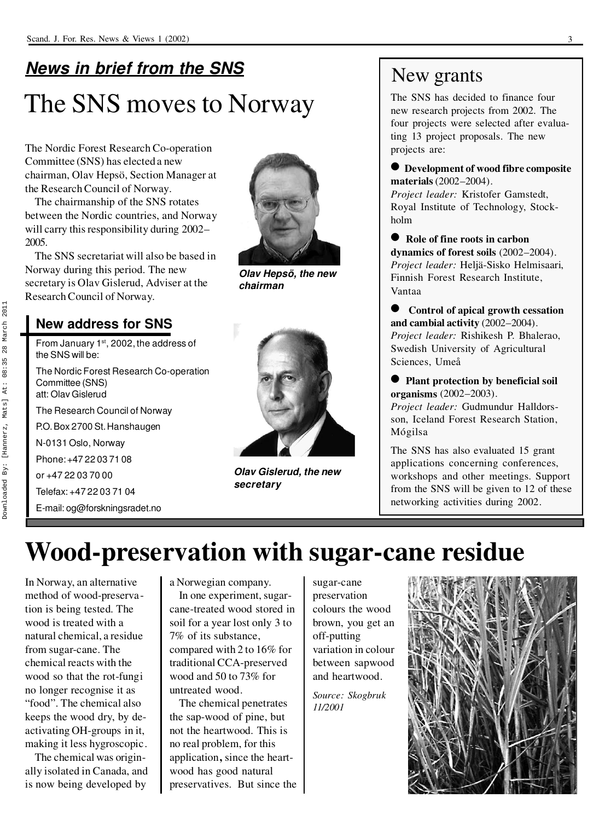## *News in brief from the SNS* The SNS moves to Norway

The Nordic Forest Research Co-operation Committee (SNS) has elected a new chairman, Olav Hepsö, Section Manager at the Research Council of Norway.

The chairmanship of the SNS rotates between the Nordic countries, and Norway will carry this responsibility during 2002– 2005.

The SNS secretariat will also be based in Norway during this period. The new secretary is Olav Gislerud, Adviser at the Research Council of Norway.



*Olav Hepsö, the new chairman*

#### **New address for SNS**

From January 1st, 2002, the address of the SNS will be:

The Nordic Forest Research Co-operation Committee (SNS) att: Olav Gislerud

The Research Council of Norway

P.O.Box 2700 St.Hanshaugen

N-0131 Oslo, Norway

Phone: +47 22 03 71 08

or +47 22 03 70 00

Telefax: +47 22 03 71 04

E-mail: og@forskningsradet.no



*Olav Gislerud, the new secretary*

### New grants

The SNS has decided to finance four new research projects from 2002. The four projects were selected after evaluating 13 project proposals. The new projects are:

l **Development of wood fibre composite materials** (2002–2004).

*Project leader:* Kristofer Gamstedt, Royal Institute of Technology, Stock holm

l **Role of fine roots in carbon dynamics of forest soils** (2002–2004). *Project leader:* Heljä-Sisko Helmisaari, Finnish Forest Research Institute, Vantaa

l **Control of apical growth cessation and cambial activity** (2002–2004). *Project leader:* Rishikesh P. Bhalerao, Swedish University of Agricultural Sciences, Umeå

**• Plant protection by beneficial soil organisms** (2002–2003).

*Project leader:* Gudmundur Halldorsson, Iceland Forest Research Station, Mógilsa

The SNS has also evaluated 15 grant applications concerning conferences, workshops and other meetings. Support from the SNS will be given to 12 of these networking activities during 2002.

## **Wood-preservation with sugar-cane residue**

In Norway, an alternative method of wood-preservation is being tested. The wood is treated with a natural chemical, a residue from sugar-cane. The chemical reacts with the wood so that the rot-fungi no longer recognise it as "food". The chemical also keeps the wood dry, by de activating OH-groups in it, making it less hygroscopic.

The chemical was origin ally isolated in Canada, and is now being developed by

a Norwegian company. In one experiment, sugar cane-treated wood stored in soil for a year lost only 3 to 7% of its substance, compared with 2 to 16% for traditional CCA-preserved wood and 50 to 73% for untreated wood.

The chemical penetrates the sap-wood of pine, but not the heartwood. This is no real problem, for this application**,** since the heart wood has good natural preservatives. But since the sugar-cane preservation colours the wood brown, you get an off-putting variation in colour between sapwood and heartwood.

*Source: Skogbruk 11/2001*

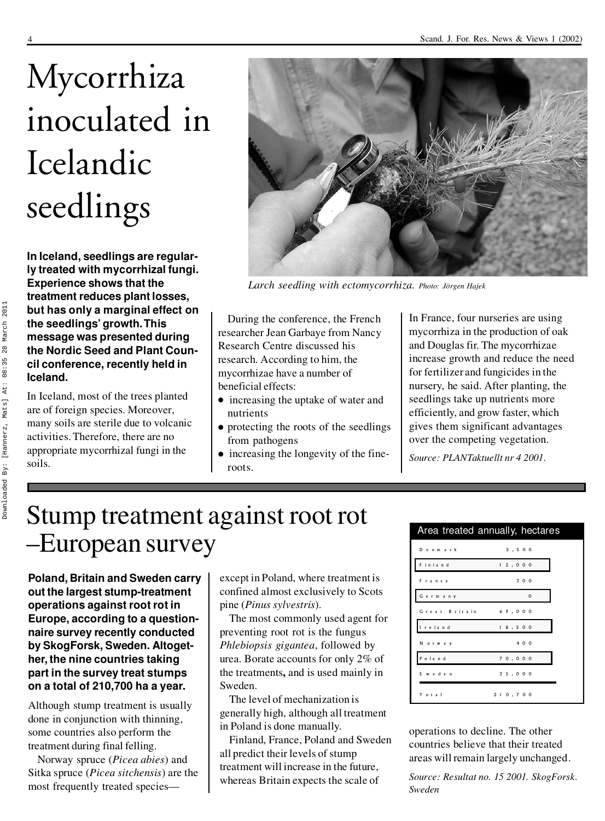# Mycorrhiza inoculated in Icelandic seedlings

**In Iceland, seedlings are regularly treated with mycorrhizal fungi. Experience shows that the treatment reduces plant losses, but has only a marginal effect on the seedlings' growth. This message was presented during the Nordic Seed and Plant Coun cil conference, recently held in Iceland.**

In Iceland, most of the trees planted are of foreign species. Moreover, many soils are sterile due to volcanic activities. Therefore, there are no appropriate mycorrhizal fungi in the soils.



*Larch seedling with ectomycorrhiza. Photo: Jörgen Hajek*

During the conference, the French researcher Jean Garbaye from Nancy Research Centre discussed his research. According to him, the mycorrhizae have a number of beneficial effects:

- $\bullet$  increasing the uptake of water and nutrients
- $\bullet$  protecting the roots of the seedlings from pathogens
- increasing the longevity of the fineroots.

In France, four nurseries are using mycorrhiza in the production of oak and Douglas fir. The mycorrhizae increase growth and reduce the need for fertilizer and fungicides in the nursery, he said. After planting, the seedlings take up nutrients more efficiently, and grow faster, which gives them significant advantages over the competing vegetation.

*Source: PLANTaktuellt nr 4 2001.*

## Stump treatment against root rot –European survey

**Poland, Britain and Sweden carry out the largest stump-treatment operations against root rot in Europe, according to a question naire survey recently conducted by SkogForsk, Sweden. Altoget her, the nine countries taking part in the survey treat stumps on a total of 210,700 ha a year.**

Although stump treatment is usually done in conjunction with thinning, some countries also perform the treatment during final felling.

Norway spruce (*Picea abies*) and Sitka spruce (*Picea sitchensis*) are the most frequently treated species—

except in Poland, where treatment is confined almost exclusively to Scots pine (*Pinus sylvestris*).

The most commonly used agent for preventing root rot is the fungus *Phlebiopsis gigantea*, followed by urea. Borate accounts for only 2% of the treatments**,** and is used mainly in Sweden.

The level of mechanization is generally high, although all treatment in Poland is done manually.

Finland, France, Poland and Sweden all predict their levels of stump treatment will increase in the future, whereas Britain expects the scale of

|                      | Area treated annually, hectares |
|----------------------|---------------------------------|
| Denmark              | 5.500                           |
| Finland              | 12,000                          |
| France               | 300                             |
| Germany              | $\circ$                         |
| Great Britain 69,000 |                                 |
| I reland             | 18,500                          |
| Norway               | 4 0 0                           |
| Poland               | 70,000                          |
| Sweden               | 35,000                          |
| Total                | 210.700                         |

operations to decline. The other countries believe that their treated areas will remain largely unchanged.

*Source: Resultat no. 15 2001. SkogForsk. Sweden*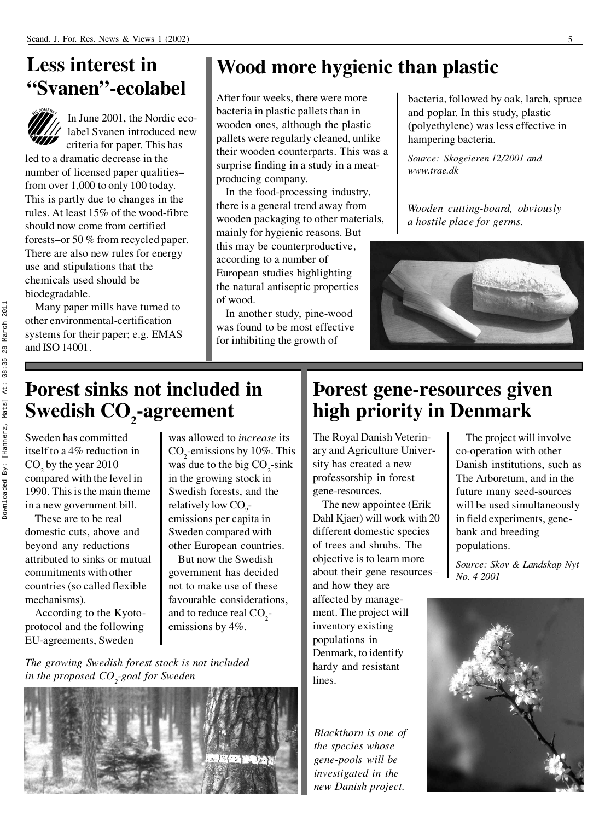#### **Less interest in "Svanen"-ecolabel**



In June 2001, the Nordic ecolabel Svanen introduced new criteria for paper. This has

led to a dramatic decrease in the number of licensed paper qualities– from over 1,000 to only 100 today. This is partly due to changes in the rules. At least 15% of the wood-fibre should now come from certified forests–or 50 % from recycled paper. There are also new rules for energy use and stipulations that the chemicals used should be biodegradable.

Many paper mills have turned to other environmental-certification systems for their paper; e.g. EMAS and ISO 14001.

### **Wood more hygienic than plastic**

After four weeks, there were more bacteria in plastic pallets than in wooden ones, although the plastic pallets were regularly cleaned, unlike their wooden counterparts. This was a surprise finding in a study in a meat producing company.

In the food-processing industry, there is a general trend away from wooden packaging to other materials, mainly for hygienic reasons. But this may be counterproductive, according to a number of European studies highlighting the natural antiseptic properties of wood.

In another study, pine-wood was found to be most effective for inhibiting the growth of

bacteria, followed by oak, larch, spruce and poplar. In this study, plastic (polyethylene) was less effective in hampering bacteria.

*Source: Skogeieren 12/2001 and www.trae.dk*

*Wooden cutting-board, obviously a hostile place for germs.*



### **Þorest sinks not included in Swedish CO2-agreement**

Sweden has committed itself to a 4% reduction in  $CO<sub>2</sub>$  by the year 2010 compared with the level in 1990. This is the main theme in a new government bill.

These are to be real domestic cuts, above and beyond any reductions attributed to sinks or mutual commitments with other countries (so called flexible mechanisms).

According to the Kyoto protocol and the following EU-agreements, Sweden

*The growing Swedish forest stock is not included*

*in the proposed CO2-goal for Sweden*

was allowed to *increase* its  $CO<sub>2</sub>$ -emissions by 10%. This was due to the big  $CO<sub>2</sub>$ -sink in the growing stock in Swedish forests, and the relatively low  $CO<sub>2</sub>$ -<br>emissions per capita in Sweden compared with other European countries.

But now the Swedish government has decided not to make use of these favourable considerations, and to reduce real  $CO_2$ -<br>emissions by 4%.

#### **Þorest gene-resources given high priority in Denmark**

The Royal Danish Veterin ary and Agriculture University has created a new professorship in forest gene-resources.

The new appointee (Erik Dahl Kjaer) will work with 20 different domestic species of trees and shrubs. The objective is to learn more about their gene resources– and how they are affected by manage ment. The project will inventory existing populations in Denmark, to identify hardy and resistant lines.

*Blackthorn is one of the species whose gene-pools will be investigated in the new Danish project.*

The project will involve co-operation with other Danish institutions, such as The Arboretum, and in the future many seed-sources will be used simultaneously in field experiments, gene bank and breeding populations.

*Source: Skov & Landskap Nyt No. 4 2001*